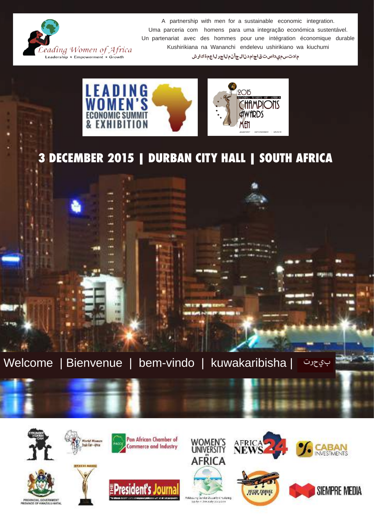

A partnership with men for a sustainable economic integration. Uma parceria com homens para uma integração económica sustentável. Un partenariat avec des hommes pour une intégration économique durable Kushirikiana na Wananchi endelevu ushirikiano wa kiuchumi م ادت س مي داص ت ق اڄ ام دن ال ج أن م ل اج ر ل اع م ة ك ار ش



## **3 DECEMBER 2015 | DURBAN CITY HALL | SOUTH AFRICA**

Welcome | Bienvenue | bem-vindo | kuwakaribisha | بءٍحرت











Pan African Chamber of

**Commerce and Industry** 



**AFRIC** 



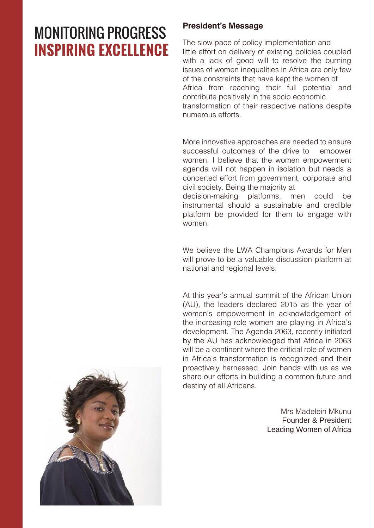## MONITORING PROGRESS **INSPIRING EXCELLENCE**

### **President's Message**

The slow pace of policy implementation and little effort on delivery of existing policies coupled with a lack of good will to resolve the burning issues of women inequalities in Africa are only few of the constraints that have kept the women of Africa from reaching their full potential and contribute positively in the socio economic transformation of their respective nations despite numerous efforts.

More innovative approaches are needed to ensure successful outcomes of the drive to empower women. I believe that the women empowerment agenda will not happen in isolation but needs a concerted effort from government, corporate and civil society. Being the majority at

decision-making platforms, men could be instrumental should a sustainable and credible platform be provided for them to engage with women.

We believe the LWA Champions Awards for Men will prove to be a valuable discussion platform at national and regional levels.

At this year's annual summit of the African Union (AU), the leaders declared 2015 as the year of women's empowerment in acknowledgement of the increasing role women are playing in Africa's development. The Agenda 2063, recently initiated by the AU has acknowledged that Africa in 2063 will be a continent where the critical role of women in Africa's transformation is recognized and their proactively harnessed. Join hands with us as we share our efforts in building a common future and destiny of all Africans.

> Mrs Madelein Mkunu Founder & President Leading Women of Africa

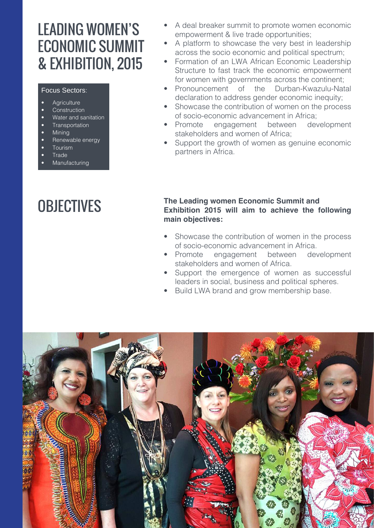## LEADING WOMEN'S ECONOMIC SUMMIT & EXHIBITION, 2015

#### Focus Sectors:

- **Agriculture**
- **Construction**
- Water and sanitation
- **Transportation**
- **Mining**
- Renewable energy
- Tourism
- **Trade**
- **Manufacturing**

# **OBJECTIVES**

- A deal breaker summit to promote women economic empowerment & live trade opportunities;
- A platform to showcase the very best in leadership across the socio economic and political spectrum;
- Formation of an LWA African Economic Leadership Structure to fast track the economic empowerment for women with governments across the continent;
- Pronouncement of the Durban-Kwazulu-Natal declaration to address gender economic inequity;
- Showcase the contribution of women on the process of socio-economic advancement in Africa;
- • Promote engagement between development stakeholders and women of Africa;
- Support the growth of women as genuine economic partners in Africa.

### **The Leading women Economic Summit and Exhibition 2015 will aim to achieve the following main objectives:**

- Showcase the contribution of women in the process of socio-economic advancement in Africa.
- • Promote engagement between development stakeholders and women of Africa.
- Support the emergence of women as successful leaders in social, business and political spheres.
- Build LWA brand and grow membership base.

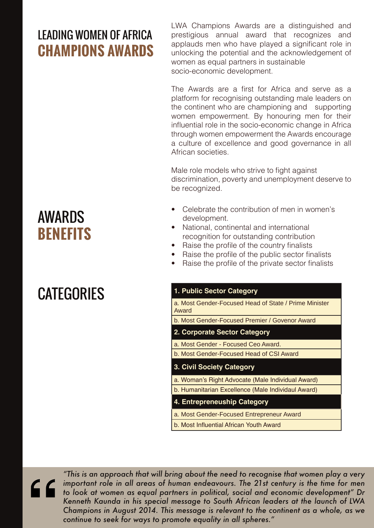## LEADING WOMEN OF AFRICA **CHAMPIONS AWARDS**

LWA Champions Awards are a distinguished and prestigious annual award that recognizes and applauds men who have played a significant role in unlocking the potential and the acknowledgement of women as equal partners in sustainable socio-economic development.

The Awards are a first for Africa and serve as a platform for recognising outstanding male leaders on the continent who are championing and supporting women empowerment. By honouring men for their influential role in the socio-economic change in Africa through women empowerment the Awards encourage a culture of excellence and good governance in all African societies.

Male role models who strive to fight against discrimination, poverty and unemployment deserve to be recognized.

- Celebrate the contribution of men in women's development.
- National, continental and international recognition for outstanding contribution
- Raise the profile of the country finalists
- Raise the profile of the public sector finalists
- Raise the profile of the private sector finalists

| 1. Public Sector Category                                      |
|----------------------------------------------------------------|
| a. Most Gender-Focused Head of State / Prime Minister<br>Award |
| b. Most Gender-Focused Premier / Govenor Award                 |
| 2. Corporate Sector Category                                   |
| a. Most Gender - Focused Ceo Award.                            |
| b. Most Gender-Focused Head of CSI Award                       |
|                                                                |
| <b>3. Civil Society Category</b>                               |
| a. Woman's Right Advocate (Male Individual Award)              |
| b. Humanitarian Excellence (Male Individaul Award)             |
| 4. Entrepreneuship Category                                    |
| a. Most Gender-Focused Entrepreneur Award                      |

# $66$

*"This is an approach that will bring about the need to recognise that women play a very*  important role in all areas of human endeavours. The 21st century is the time for men *to look at women as equal partners in political, social and economic development" Dr Kenneth Kaunda in his special message to South African leaders at the launch of LWA Champions in August 2014. This message is relevant to the continent as a whole, as we continue to seek for ways to promote equality in all spheres."*

## AWARDS **BENEFITS**

# **CATEGORIES**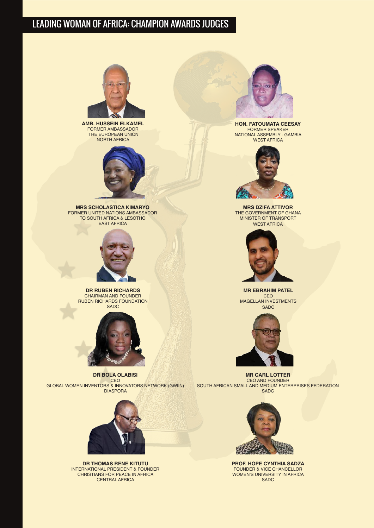## LEADING WOMAN OF AFRICA: CHAMPION AWARDS JUDGES



**AMB. HUSSEIN ELKAMEL** FORMER AMBASSADOR THE EUROPEAN UNION NORTH AFRICA



**MRS SCHOLASTICA KIMARYO** FORMER UNITED NATIONS AMBASSADOR TO SOUTH AFRICA & LESOTHO EAST AFRICA



**DR RUBEN RICHARDS** CHAIRMAN AND FOUNDER RUBEN RICHARDS FOUNDATION **SADC** 



**DR BOLA OLABISI CEO** GLOBAL WOMEN INVENTORS & INNOVATORS NETWORK (GWIIN) **DIASPORA** 



**DR THOMAS RENE KITUTU** INTERNATIONAL PRESIDENT & FOUNDER CHRISTIANS FOR PEACE IN AFRICA CENTRAL AFRICA



**HON. FATOUMATA CEESAY** FORMER SPEAKER NATIONAL ASSEMBLY - GAMBIA WEST AFRICA



**MRS DZIFA ATTIVOR** THE GOVERNMENT OF GHANA MINISTER OF TRANSPORT WEST AFRICA



**MR EBRAHIM PATEL** CEO MAGELLAN INVESTMENTS SADC



**MR CARL LOTTER** CEO AND FOUNDER SOUTH AFRICAN SMALL AND MEDIUM ENTERPRISES FEDERATION **SADC** 



**PROF. HOPE CYNTHIA SADZA** FOUNDER & VICE CHANCELLOR WOMEN'S UNIVERSITY IN AFRICA SAD<sub>C</sub>